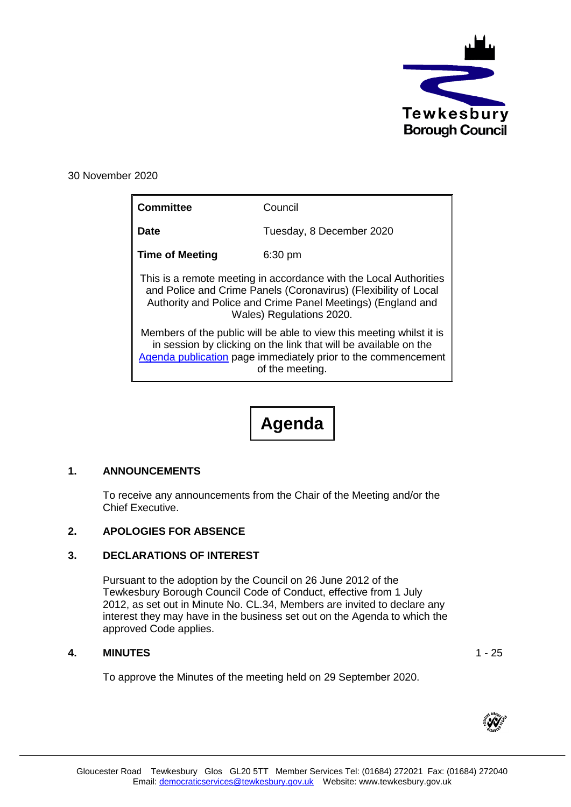

30 November 2020

| <b>Committee</b>                                                                                                                                                                                                                | Council                                                                                                                                                                                                                      |
|---------------------------------------------------------------------------------------------------------------------------------------------------------------------------------------------------------------------------------|------------------------------------------------------------------------------------------------------------------------------------------------------------------------------------------------------------------------------|
| Date                                                                                                                                                                                                                            | Tuesday, 8 December 2020                                                                                                                                                                                                     |
| <b>Time of Meeting</b>                                                                                                                                                                                                          | $6:30$ pm                                                                                                                                                                                                                    |
| This is a remote meeting in accordance with the Local Authorities<br>and Police and Crime Panels (Coronavirus) (Flexibility of Local<br>Authority and Police and Crime Panel Meetings) (England and<br>Wales) Regulations 2020. |                                                                                                                                                                                                                              |
|                                                                                                                                                                                                                                 | Members of the public will be able to view this meeting whilst it is<br>in session by clicking on the link that will be available on the<br>Agenda publication page immediately prior to the commencement<br>of the meeting. |

**Agenda**

# **1. ANNOUNCEMENTS**

To receive any announcements from the Chair of the Meeting and/or the Chief Executive.

## **2. APOLOGIES FOR ABSENCE**

## **3. DECLARATIONS OF INTEREST**

Pursuant to the adoption by the Council on 26 June 2012 of the Tewkesbury Borough Council Code of Conduct, effective from 1 July 2012, as set out in Minute No. CL.34, Members are invited to declare any interest they may have in the business set out on the Agenda to which the approved Code applies.

## **4. MINUTES** 1 - 25

To approve the Minutes of the meeting held on 29 September 2020.

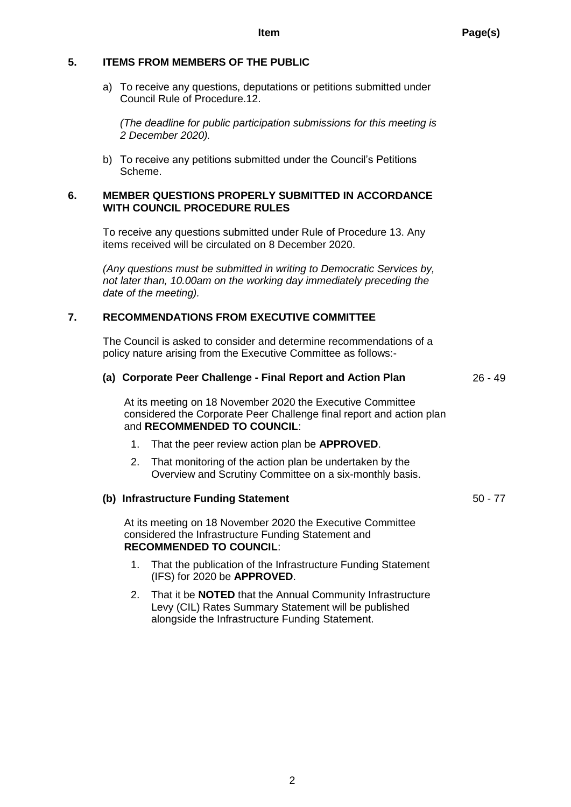# **5. ITEMS FROM MEMBERS OF THE PUBLIC**

a) To receive any questions, deputations or petitions submitted under Council Rule of Procedure.12.

*(The deadline for public participation submissions for this meeting is 2 December 2020).*

b) To receive any petitions submitted under the Council's Petitions Scheme.

#### **6. MEMBER QUESTIONS PROPERLY SUBMITTED IN ACCORDANCE WITH COUNCIL PROCEDURE RULES**

To receive any questions submitted under Rule of Procedure 13. Any items received will be circulated on 8 December 2020.

*(Any questions must be submitted in writing to Democratic Services by, not later than, 10.00am on the working day immediately preceding the date of the meeting).*

# **7. RECOMMENDATIONS FROM EXECUTIVE COMMITTEE**

The Council is asked to consider and determine recommendations of a policy nature arising from the Executive Committee as follows:-

|  |  | (a) Corporate Peer Challenge - Final Report and Action Plan | 26 - 49 |
|--|--|-------------------------------------------------------------|---------|
|--|--|-------------------------------------------------------------|---------|

At its meeting on 18 November 2020 the Executive Committee considered the Corporate Peer Challenge final report and action plan and **RECOMMENDED TO COUNCIL**:

- 1. That the peer review action plan be **APPROVED**.
- 2. That monitoring of the action plan be undertaken by the Overview and Scrutiny Committee on a six-monthly basis.

#### **(b) Infrastructure Funding Statement** 50 - 77

At its meeting on 18 November 2020 the Executive Committee considered the Infrastructure Funding Statement and **RECOMMENDED TO COUNCIL**:

- 1. That the publication of the Infrastructure Funding Statement (IFS) for 2020 be **APPROVED**.
- 2. That it be **NOTED** that the Annual Community Infrastructure Levy (CIL) Rates Summary Statement will be published alongside the Infrastructure Funding Statement.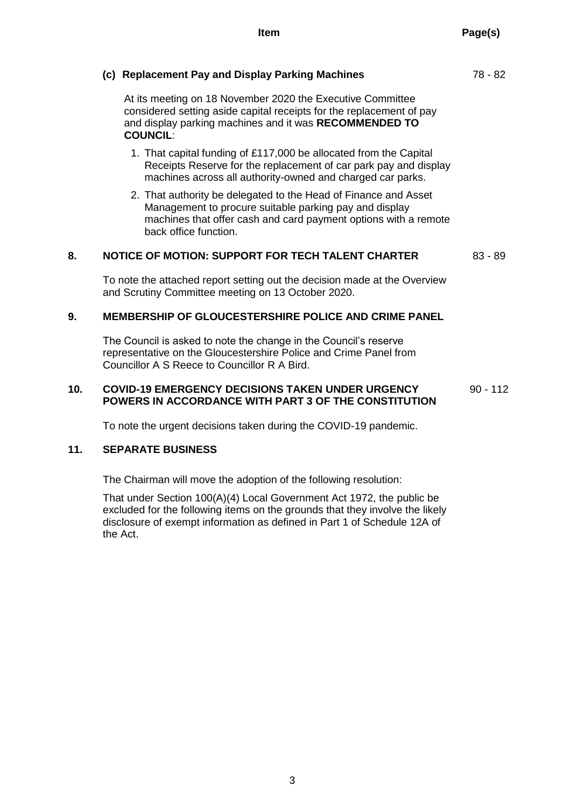# **(c) Replacement Pay and Display Parking Machines** 78 - 82

At its meeting on 18 November 2020 the Executive Committee considered setting aside capital receipts for the replacement of pay and display parking machines and it was **RECOMMENDED TO COUNCIL**:

- 1. That capital funding of £117,000 be allocated from the Capital Receipts Reserve for the replacement of car park pay and display machines across all authority-owned and charged car parks.
- 2. That authority be delegated to the Head of Finance and Asset Management to procure suitable parking pay and display machines that offer cash and card payment options with a remote back office function.

## **8. NOTICE OF MOTION: SUPPORT FOR TECH TALENT CHARTER** 83 - 89

To note the attached report setting out the decision made at the Overview and Scrutiny Committee meeting on 13 October 2020.

## **9. MEMBERSHIP OF GLOUCESTERSHIRE POLICE AND CRIME PANEL**

The Council is asked to note the change in the Council's reserve representative on the Gloucestershire Police and Crime Panel from Councillor A S Reece to Councillor R A Bird.

#### **10. COVID-19 EMERGENCY DECISIONS TAKEN UNDER URGENCY POWERS IN ACCORDANCE WITH PART 3 OF THE CONSTITUTION** 90 - 112

To note the urgent decisions taken during the COVID-19 pandemic.

## **11. SEPARATE BUSINESS**

The Chairman will move the adoption of the following resolution:

That under Section 100(A)(4) Local Government Act 1972, the public be excluded for the following items on the grounds that they involve the likely disclosure of exempt information as defined in Part 1 of Schedule 12A of the Act.